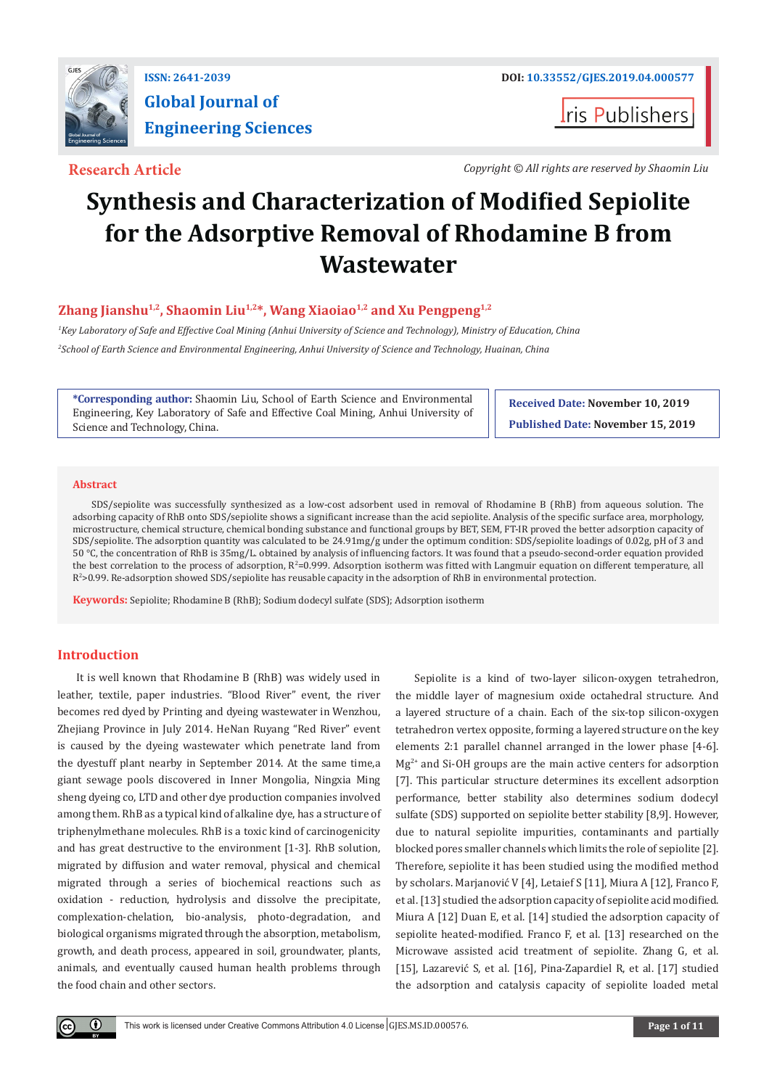

# **Global Journal of Engineering Sciences**

**I**ris Publishers

**Research Article** *Copyright © All rights are reserved by Shaomin Liu*

## **Synthesis and Characterization of Modified Sepiolite for the Adsorptive Removal of Rhodamine B from Wastewater**

### **Zhang Jianshu1,2, Shaomin Liu1,2\*, Wang Xiaoiao1,2 and Xu Pengpeng1,2**

*1 Key Laboratory of Safe and Effective Coal Mining (Anhui University of Science and Technology), Ministry of Education, China 2 School of Earth Science and Environmental Engineering, Anhui University of Science and Technology, Huainan, China*

**\*Corresponding author:** Shaomin Liu, School of Earth Science and Environmental Engineering, Key Laboratory of Safe and Effective Coal Mining, Anhui University of Science and Technology, China.

**Received Date: November 10, 2019 Published Date: November 15, 2019**

#### **Abstract**

SDS/sepiolite was successfully synthesized as a low-cost adsorbent used in removal of Rhodamine B (RhB) from aqueous solution. The adsorbing capacity of RhB onto SDS/sepiolite shows a significant increase than the acid sepiolite. Analysis of the specific surface area, morphology, microstructure, chemical structure, chemical bonding substance and functional groups by BET, SEM, FT-IR proved the better adsorption capacity of SDS/sepiolite. The adsorption quantity was calculated to be 24.91mg/g under the optimum condition: SDS/sepiolite loadings of 0.02g, pH of 3 and 50 °C, the concentration of RhB is 35mg/L. obtained by analysis of influencing factors. It was found that a pseudo-second-order equation provided the best correlation to the process of adsorption, R<sup>2</sup>=0.999. Adsorption isotherm was fitted with Langmuir equation on different temperature, all R2 >0.99. Re-adsorption showed SDS/sepiolite has reusable capacity in the adsorption of RhB in environmental protection.

**Keywords:** Sepiolite; Rhodamine B (RhB); Sodium dodecyl sulfate (SDS); Adsorption isotherm

#### **Introduction**

 $\left( \cdot \right)$ 

It is well known that Rhodamine B (RhB) was widely used in leather, textile, paper industries. "Blood River" event, the river becomes red dyed by Printing and dyeing wastewater in Wenzhou, Zhejiang Province in July 2014. HeNan Ruyang "Red River" event is caused by the dyeing wastewater which penetrate land from the dyestuff plant nearby in September 2014. At the same time,a giant sewage pools discovered in Inner Mongolia, Ningxia Ming sheng dyeing co, LTD and other dye production companies involved among them. RhB as a typical kind of alkaline dye, has a structure of triphenylmethane molecules. RhB is a toxic kind of carcinogenicity and has great destructive to the environment [1-3]. RhB solution, migrated by diffusion and water removal, physical and chemical migrated through a series of biochemical reactions such as oxidation - reduction, hydrolysis and dissolve the precipitate, complexation-chelation, bio-analysis, photo-degradation, and biological organisms migrated through the absorption, metabolism, growth, and death process, appeared in soil, groundwater, plants, animals, and eventually caused human health problems through the food chain and other sectors.

Sepiolite is a kind of two-layer silicon-oxygen tetrahedron, the middle layer of magnesium oxide octahedral structure. And a layered structure of a chain. Each of the six-top silicon-oxygen tetrahedron vertex opposite, forming a layered structure on the key elements 2:1 parallel channel arranged in the lower phase [4-6].  $Mg^{2+}$  and Si-OH groups are the main active centers for adsorption [7]. This particular structure determines its excellent adsorption performance, better stability also determines sodium dodecyl sulfate (SDS) supported on sepiolite better stability [8,9]. However, due to natural sepiolite impurities, contaminants and partially blocked pores smaller channels which limits the role of sepiolite [2]. Therefore, sepiolite it has been studied using the modified method by scholars. Marjanović V [4], Letaief S [11], Miura A [12], Franco F, et al. [13] studied the adsorption capacity of sepiolite acid modified. Miura A [12] Duan E, et al. [14] studied the adsorption capacity of sepiolite heated-modified. Franco F, et al. [13] researched on the Microwave assisted acid treatment of sepiolite. Zhang G, et al. [15], Lazarević S, et al. [16], Pina-Zapardiel R, et al. [17] studied the adsorption and catalysis capacity of sepiolite loaded metal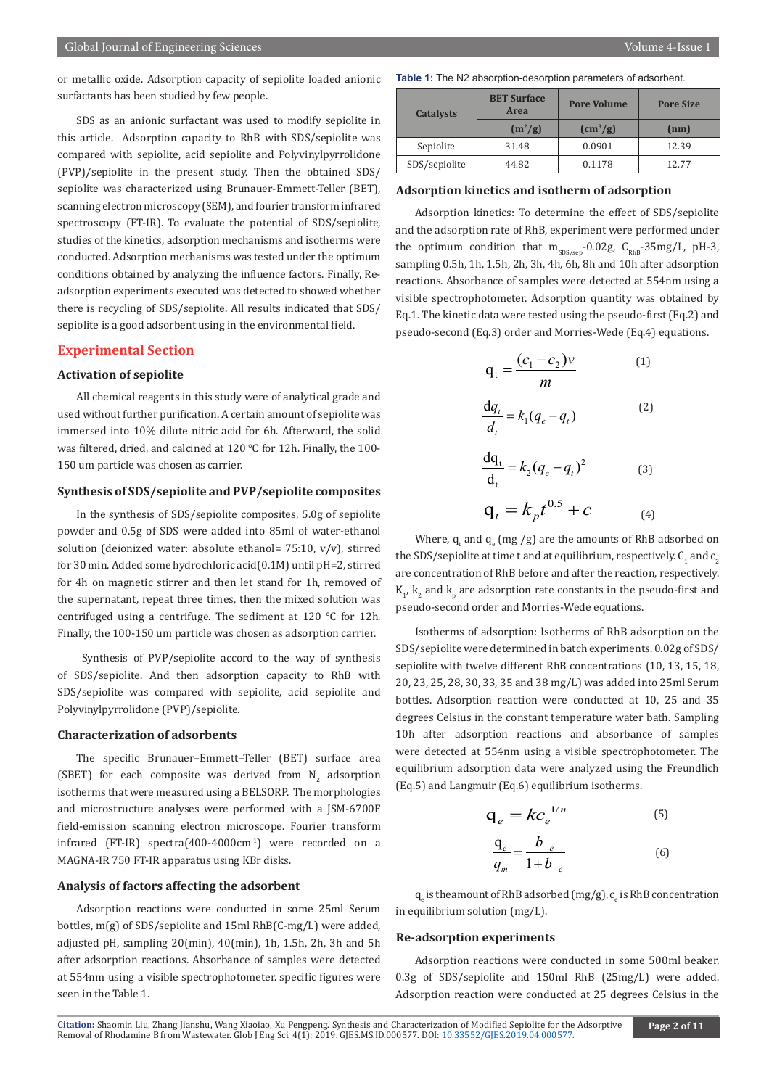or metallic oxide. Adsorption capacity of sepiolite loaded anionic surfactants has been studied by few people.

SDS as an anionic surfactant was used to modify sepiolite in this article. Adsorption capacity to RhB with SDS/sepiolite was compared with sepiolite, acid sepiolite and Polyvinylpyrrolidone (PVP)/sepiolite in the present study. Then the obtained SDS/ sepiolite was characterized using Brunauer-Emmett-Teller (BET), scanning electron microscopy (SEM), and fourier transform infrared spectroscopy (FT-IR). To evaluate the potential of SDS/sepiolite, studies of the kinetics, adsorption mechanisms and isotherms were conducted. Adsorption mechanisms was tested under the optimum conditions obtained by analyzing the influence factors. Finally, Readsorption experiments executed was detected to showed whether there is recycling of SDS/sepiolite. All results indicated that SDS/ sepiolite is a good adsorbent using in the environmental field.

#### **Experimental Section**

#### **Activation of sepiolite**

All chemical reagents in this study were of analytical grade and used without further purification. A certain amount of sepiolite was immersed into 10% dilute nitric acid for 6h. Afterward, the solid was filtered, dried, and calcined at 120 ℃ for 12h. Finally, the 100- 150 um particle was chosen as carrier.

#### **Synthesis of SDS/sepiolite and PVP/sepiolite composites**

In the synthesis of SDS/sepiolite composites, 5.0g of sepiolite powder and 0.5g of SDS were added into 85ml of water-ethanol solution (deionized water: absolute ethanol= 75:10,  $v/v$ ), stirred for 30 min. Added some hydrochloric acid(0.1M) until pH=2, stirred for 4h on magnetic stirrer and then let stand for 1h, removed of the supernatant, repeat three times, then the mixed solution was centrifuged using a centrifuge. The sediment at 120 ℃ for 12h. Finally, the 100-150 um particle was chosen as adsorption carrier.

 Synthesis of PVP/sepiolite accord to the way of synthesis of SDS/sepiolite. And then adsorption capacity to RhB with SDS/sepiolite was compared with sepiolite, acid sepiolite and Polyvinylpyrrolidone (PVP)/sepiolite.

#### **Characterization of adsorbents**

The specific Brunauer–Emmett–Teller (BET) surface area (SBET) for each composite was derived from  $N_2$  adsorption isotherms that were measured using a BELSORP. The morphologies and microstructure analyses were performed with a JSM-6700F field-emission scanning electron microscope. Fourier transform infrared (FT-IR) spectra(400-4000cm-1) were recorded on a MAGNA-IR 750 FT-IR apparatus using KBr disks.

#### **Analysis of factors affecting the adsorbent**

Adsorption reactions were conducted in some 25ml Serum bottles, m(g) of SDS/sepiolite and 15ml RhB(C-mg/L) were added, adjusted pH, sampling 20(min), 40(min), 1h, 1.5h, 2h, 3h and 5h after adsorption reactions. Absorbance of samples were detected at 554nm using a visible spectrophotometer. specific figures were seen in the Table 1.

**Table 1:** The N2 absorption-desorption parameters of adsorbent.

| <b>Catalysts</b> | <b>BET Surface</b><br>Area | <b>Pore Volume</b>     | <b>Pore Size</b> |  |
|------------------|----------------------------|------------------------|------------------|--|
|                  | $(m^2/g)$                  | $\text{cm}^3\text{/g}$ | (nm)             |  |
| Sepiolite        | 31.48                      | 0.0901                 | 12.39            |  |
| SDS/sepiolite    | 44.82                      | 0.1178                 | 12.77            |  |

#### **Adsorption kinetics and isotherm of adsorption**

Adsorption kinetics: To determine the effect of SDS/sepiolite and the adsorption rate of RhB, experiment were performed under the optimum condition that  $m_{SDS/sep}$ -0.02g,  $C_{RhB}$ -35mg/L, pH-3, sampling 0.5h, 1h, 1.5h, 2h, 3h, 4h, 6h, 8h and 10h after adsorption reactions. Absorbance of samples were detected at 554nm using a visible spectrophotometer. Adsorption quantity was obtained by Eq.1. The kinetic data were tested using the pseudo-first (Eq.2) and pseudo-second (Eq.3) order and Morries-Wede (Eq.4) equations.

$$
q_t = \frac{(c_1 - c_2)v}{m}
$$
\n
$$
\frac{dq_t}{d_t} = k_1(q_e - q_t)
$$
\n(2)

$$
\frac{dq_t}{d_t} = k_2 (q_e - q_t)^2
$$
 (3)  
 
$$
q_t = k_p t^{0.5} + c
$$
 (4)

Where,  $q_t$  and  $q_e$  (mg /g) are the amounts of RhB adsorbed on the SDS/sepiolite at time t and at equilibrium, respectively.  $\mathsf{C}_1^{}$  and  $\mathsf{c}_2^{}$ are concentration of RhB before and after the reaction, respectively.  $\mathrm{K}_{1'}$ ,  $\mathrm{K}_{2}$  and  $\mathrm{K}_{\mathrm{p}}$  are adsorption rate constants in the pseudo-first and pseudo-second order and Morries-Wede equations.

Isotherms of adsorption: Isotherms of RhB adsorption on the SDS/sepiolite were determined in batch experiments. 0.02g of SDS/ sepiolite with twelve different RhB concentrations (10, 13, 15, 18, 20, 23, 25, 28, 30, 33, 35 and 38 mg/L) was added into 25ml Serum bottles. Adsorption reaction were conducted at 10, 25 and 35 degrees Celsius in the constant temperature water bath. Sampling 10h after adsorption reactions and absorbance of samples were detected at 554nm using a visible spectrophotometer. The equilibrium adsorption data were analyzed using the Freundlich (Eq.5) and Langmuir (Eq.6) equilibrium isotherms.

$$
\mathbf{q}_e = k c_e^{1/n} \tag{5}
$$

$$
\frac{\mathbf{q}_e}{q_m} = \frac{b_e}{1+b_e} \tag{6}
$$

 $\boldsymbol{\mathsf{q}}_{\rm e}$  is theamount of RhB adsorbed (mg/g),  $\boldsymbol{\mathsf{c}}_{\rm e}$  is RhB concentration in equilibrium solution (mg/L).

#### **Re-adsorption experiments**

Adsorption reactions were conducted in some 500ml beaker, 0.3g of SDS/sepiolite and 150ml RhB (25mg/L) were added. Adsorption reaction were conducted at 25 degrees Celsius in the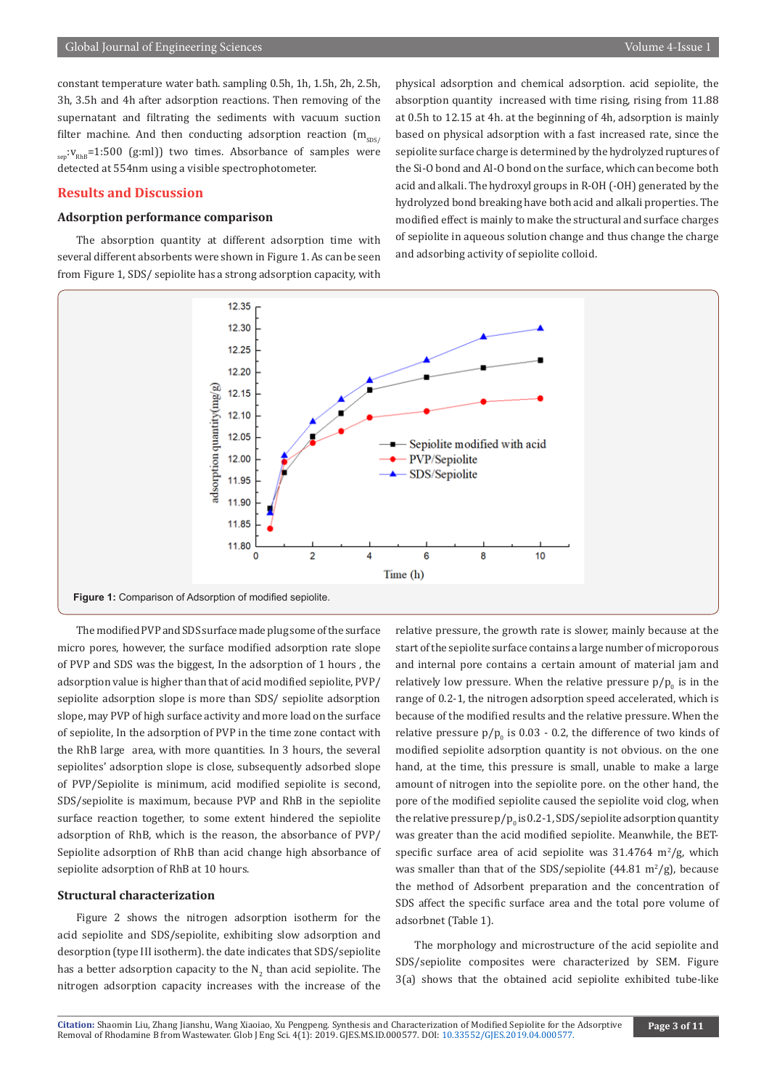constant temperature water bath. sampling 0.5h, 1h, 1.5h, 2h, 2.5h, 3h, 3.5h and 4h after adsorption reactions. Then removing of the supernatant and filtrating the sediments with vacuum suction filter machine. And then conducting adsorption reaction  $(m_{\text{cyc}})$  $s_{\text{gen}}$ : $V_{\text{RhB}}$ =1:500 (g:ml)) two times. Absorbance of samples were detected at 554nm using a visible spectrophotometer.

#### **Results and Discussion**

#### **Adsorption performance comparison**

The absorption quantity at different adsorption time with several different absorbents were shown in Figure 1. As can be seen from Figure 1, SDS/ sepiolite has a strong adsorption capacity, with

physical adsorption and chemical adsorption. acid sepiolite, the absorption quantity increased with time rising, rising from 11.88 at 0.5h to 12.15 at 4h. at the beginning of 4h, adsorption is mainly based on physical adsorption with a fast increased rate, since the sepiolite surface charge is determined by the hydrolyzed ruptures of the Si-O bond and Al-O bond on the surface, which can become both acid and alkali. The hydroxyl groups in R-OH (-OH) generated by the hydrolyzed bond breaking have both acid and alkali properties. The modified effect is mainly to make the structural and surface charges of sepiolite in aqueous solution change and thus change the charge and adsorbing activity of sepiolite colloid.



The modified PVP and SDS surface made plug some of the surface micro pores, however, the surface modified adsorption rate slope of PVP and SDS was the biggest, In the adsorption of 1 hours , the adsorption value is higher than that of acid modified sepiolite, PVP/ sepiolite adsorption slope is more than SDS/ sepiolite adsorption slope, may PVP of high surface activity and more load on the surface of sepiolite, In the adsorption of PVP in the time zone contact with the RhB large area, with more quantities. In 3 hours, the several sepiolites' adsorption slope is close, subsequently adsorbed slope of PVP/Sepiolite is minimum, acid modified sepiolite is second, SDS/sepiolite is maximum, because PVP and RhB in the sepiolite surface reaction together, to some extent hindered the sepiolite adsorption of RhB, which is the reason, the absorbance of PVP/ Sepiolite adsorption of RhB than acid change high absorbance of sepiolite adsorption of RhB at 10 hours.

#### **Structural characterization**

Figure 2 shows the nitrogen adsorption isotherm for the acid sepiolite and SDS/sepiolite, exhibiting slow adsorption and desorption (type III isotherm). the date indicates that SDS/sepiolite has a better adsorption capacity to the  $\mathsf{N}_2$  than acid sepiolite. The nitrogen adsorption capacity increases with the increase of the

relative pressure, the growth rate is slower, mainly because at the start of the sepiolite surface contains a large number of microporous and internal pore contains a certain amount of material jam and relatively low pressure. When the relative pressure  $p/p_{_0}$  is in the range of 0.2-1, the nitrogen adsorption speed accelerated, which is because of the modified results and the relative pressure. When the relative pressure  $p/p_{0}$  is 0.03 - 0.2, the difference of two kinds of modified sepiolite adsorption quantity is not obvious. on the one hand, at the time, this pressure is small, unable to make a large amount of nitrogen into the sepiolite pore. on the other hand, the pore of the modified sepiolite caused the sepiolite void clog, when the relative pressure  $p/p_{_0}$  is 0.2-1, SDS/sepiolite adsorption quantity was greater than the acid modified sepiolite. Meanwhile, the BETspecific surface area of acid sepiolite was  $31.4764 \, \text{m}^2/\text{g}$ , which was smaller than that of the SDS/sepiolite  $(44.81 \text{ m}^2/\text{g})$ , because the method of Adsorbent preparation and the concentration of SDS affect the specific surface area and the total pore volume of adsorbnet (Table 1).

The morphology and microstructure of the acid sepiolite and SDS/sepiolite composites were characterized by SEM. Figure 3(a) shows that the obtained acid sepiolite exhibited tube-like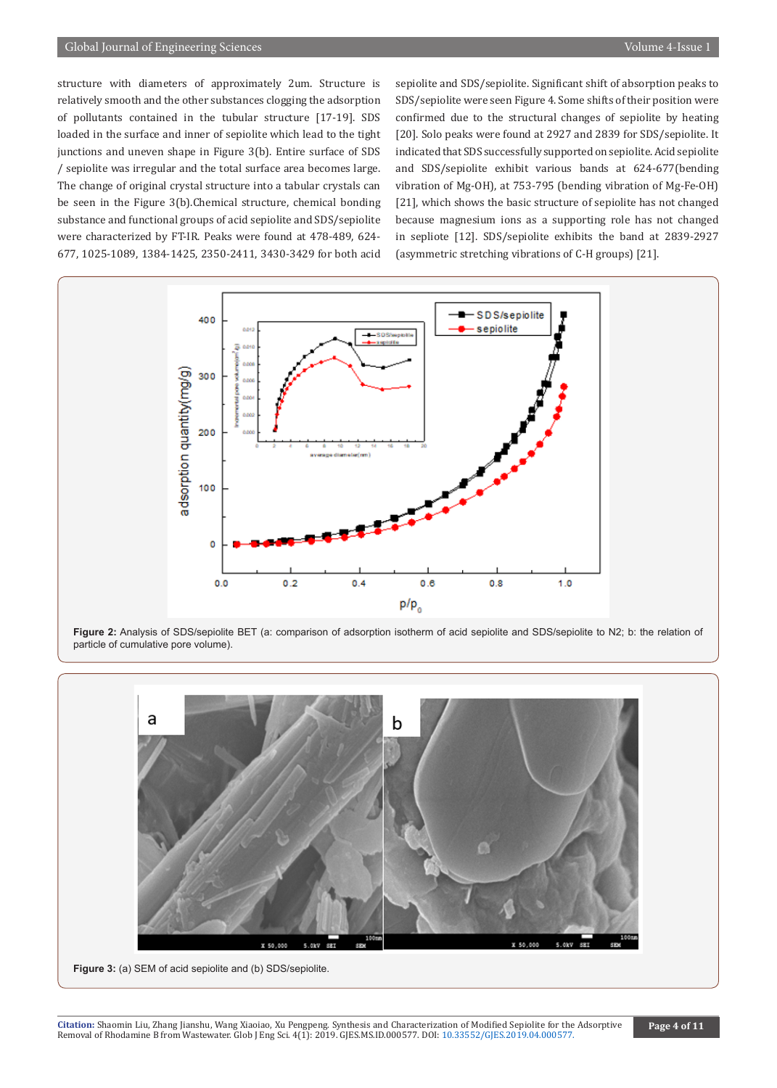#### Global Journal of Engineering Sciences Volume 4-Issue 1

structure with diameters of approximately 2um. Structure is relatively smooth and the other substances clogging the adsorption of pollutants contained in the tubular structure [17-19]. SDS loaded in the surface and inner of sepiolite which lead to the tight junctions and uneven shape in Figure 3(b). Entire surface of SDS / sepiolite was irregular and the total surface area becomes large. The change of original crystal structure into a tabular crystals can be seen in the Figure 3(b).Chemical structure, chemical bonding substance and functional groups of acid sepiolite and SDS/sepiolite were characterized by FT-IR. Peaks were found at 478-489, 624- 677, 1025-1089, 1384-1425, 2350-2411, 3430-3429 for both acid

sepiolite and SDS/sepiolite. Significant shift of absorption peaks to SDS/sepiolite were seen Figure 4. Some shifts of their position were confirmed due to the structural changes of sepiolite by heating [20]. Solo peaks were found at 2927 and 2839 for SDS/sepiolite. It indicated that SDS successfully supported on sepiolite. Acid sepiolite and SDS/sepiolite exhibit various bands at 624-677(bending vibration of Mg-OH), at 753-795 (bending vibration of Mg-Fe-OH) [21], which shows the basic structure of sepiolite has not changed because magnesium ions as a supporting role has not changed in sepliote [12]. SDS/sepiolite exhibits the band at 2839-2927 (asymmetric stretching vibrations of C-H groups) [21].



**Figure 2:** Analysis of SDS/sepiolite BET (a: comparison of adsorption isotherm of acid sepiolite and SDS/sepiolite to N2; b: the relation of particle of cumulative pore volume).



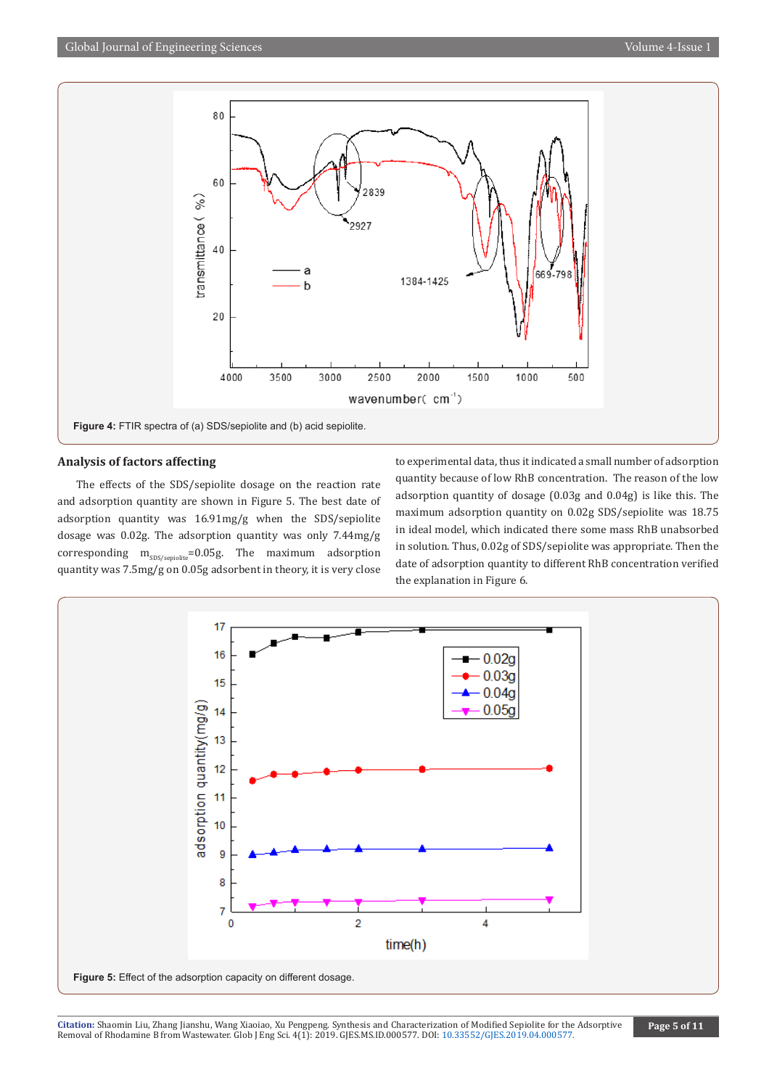

#### **Analysis of factors affecting**

The effects of the SDS/sepiolite dosage on the reaction rate and adsorption quantity are shown in Figure 5. The best date of adsorption quantity was 16.91mg/g when the SDS/sepiolite dosage was 0.02g. The adsorption quantity was only 7.44mg/g corresponding  $m_{SDS/sepiolite}$ =0.05g. The maximum adsorption quantity was 7.5mg/g on 0.05g adsorbent in theory, it is very close

to experimental data, thus it indicated a small number of adsorption quantity because of low RhB concentration. The reason of the low adsorption quantity of dosage (0.03g and 0.04g) is like this. The maximum adsorption quantity on 0.02g SDS/sepiolite was 18.75 in ideal model, which indicated there some mass RhB unabsorbed in solution. Thus, 0.02g of SDS/sepiolite was appropriate. Then the date of adsorption quantity to different RhB concentration verified the explanation in Figure 6.

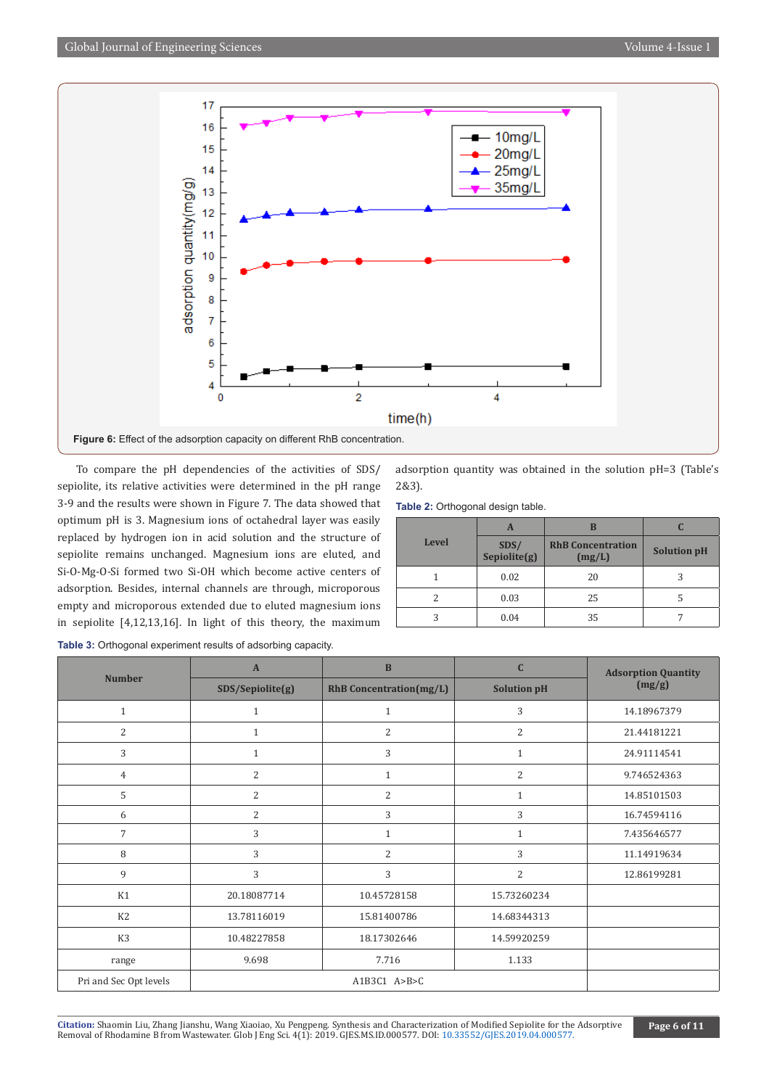

To compare the pH dependencies of the activities of SDS/ sepiolite, its relative activities were determined in the pH range 3-9 and the results were shown in Figure 7. The data showed that optimum pH is 3. Magnesium ions of octahedral layer was easily replaced by hydrogen ion in acid solution and the structure of sepiolite remains unchanged. Magnesium ions are eluted, and Si-O-Mg-O-Si formed two Si-OH which become active centers of adsorption. Besides, internal channels are through, microporous empty and microporous extended due to eluted magnesium ions in sepiolite [4,12,13,16]. In light of this theory, the maximum

adsorption quantity was obtained in the solution pH=3 (Table's 2&3).

**Table 2:** Orthogonal design table.

|              | A                    | B                                  |                    |
|--------------|----------------------|------------------------------------|--------------------|
| <b>Level</b> | SDS/<br>Sepiolite(g) | <b>RhB</b> Concentration<br>(mg/L) | <b>Solution pH</b> |
|              | 0.02                 | 20                                 |                    |
|              | 0.03                 | 25                                 |                    |
|              | 0.04                 | 35                                 |                    |

|  |  |  |  | <b>Table 3:</b> Orthogonal experiment results of adsorbing capacity. |  |  |  |
|--|--|--|--|----------------------------------------------------------------------|--|--|--|
|--|--|--|--|----------------------------------------------------------------------|--|--|--|

| <b>Number</b>          | $\overline{A}$   | $\mathbf{B}$                   | $\mathbf C$        | <b>Adsorption Quantity</b> |
|------------------------|------------------|--------------------------------|--------------------|----------------------------|
|                        | SDS/Sepiolite(g) | <b>RhB</b> Concentration(mg/L) | <b>Solution pH</b> | (mg/g)                     |
| $\mathbf{1}$           | $\mathbf{1}$     | $\mathbf{1}$                   | 3                  | 14.18967379                |
| 2                      | $\mathbf{1}$     | 2                              | $\overline{2}$     | 21.44181221                |
| 3                      | $\mathbf{1}$     | 3                              | $\mathbf{1}$       | 24.91114541                |
| $\overline{4}$         | 2                | $\mathbf{1}$                   | $\overline{2}$     | 9.746524363                |
| 5                      | $\overline{2}$   | $\overline{2}$                 | $\mathbf{1}$       | 14.85101503                |
| 6                      | $\overline{2}$   | 3                              | 3                  | 16.74594116                |
| 7                      | 3                | $\mathbf{1}$                   | $\mathbf{1}$       | 7.435646577                |
| 8                      | 3                | $\overline{2}$                 | 3                  | 11.14919634                |
| 9                      | 3                | 3                              | 2                  | 12.86199281                |
| K1                     | 20.18087714      | 10.45728158                    | 15.73260234        |                            |
| K <sub>2</sub>         | 13.78116019      | 15.81400786                    | 14.68344313        |                            |
| K3                     | 10.48227858      | 18.17302646                    | 14.59920259        |                            |
| range                  | 9.698            | 7.716                          | 1.133              |                            |
| Pri and Sec Opt levels |                  | A1B3C1 $A>B>C$                 |                    |                            |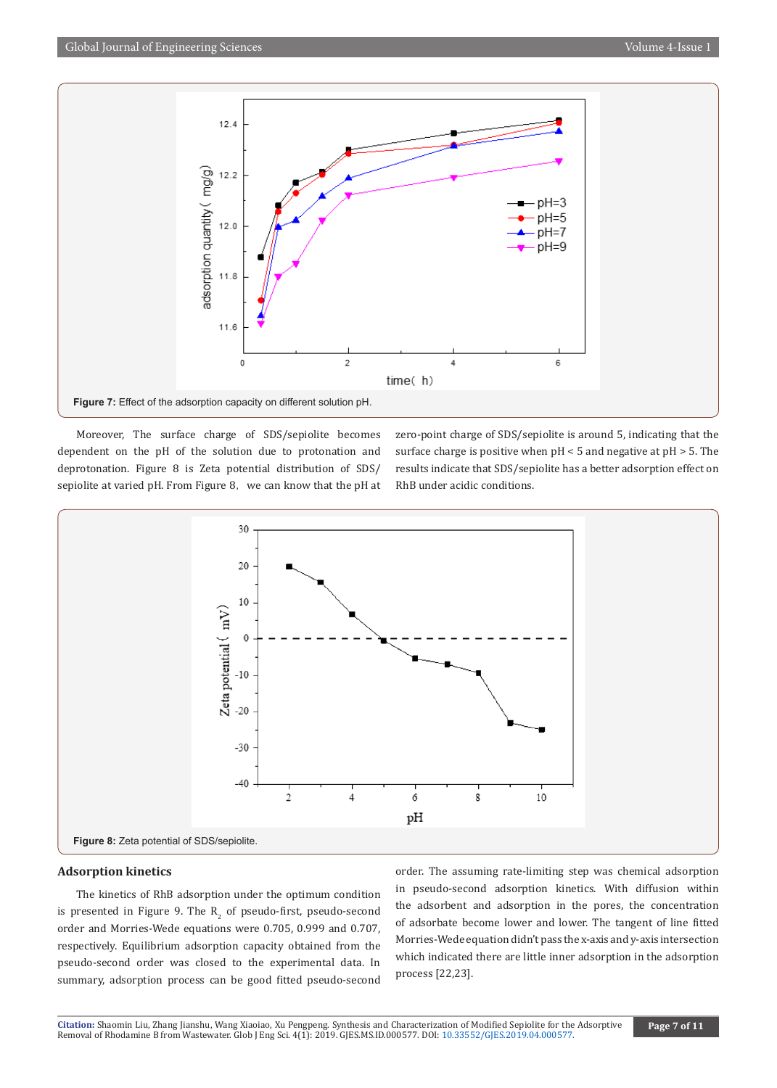

Moreover, The surface charge of SDS/sepiolite becomes dependent on the pH of the solution due to protonation and deprotonation. Figure 8 is Zeta potential distribution of SDS/ sepiolite at varied pH. From Figure 8, we can know that the pH at zero-point charge of SDS/sepiolite is around 5, indicating that the surface charge is positive when pH < 5 and negative at pH > 5. The results indicate that SDS/sepiolite has a better adsorption effect on RhB under acidic conditions.



#### **Adsorption kinetics**

The kinetics of RhB adsorption under the optimum condition is presented in Figure 9. The  $R_2$  of pseudo-first, pseudo-second order and Morries-Wede equations were 0.705, 0.999 and 0.707, respectively. Equilibrium adsorption capacity obtained from the pseudo-second order was closed to the experimental data. In summary, adsorption process can be good fitted pseudo-second

order. The assuming rate-limiting step was chemical adsorption in pseudo-second adsorption kinetics. With diffusion within the adsorbent and adsorption in the pores, the concentration of adsorbate become lower and lower. The tangent of line fitted Morries-Wede equation didn't pass the x-axis and y-axis intersection which indicated there are little inner adsorption in the adsorption process [22,23].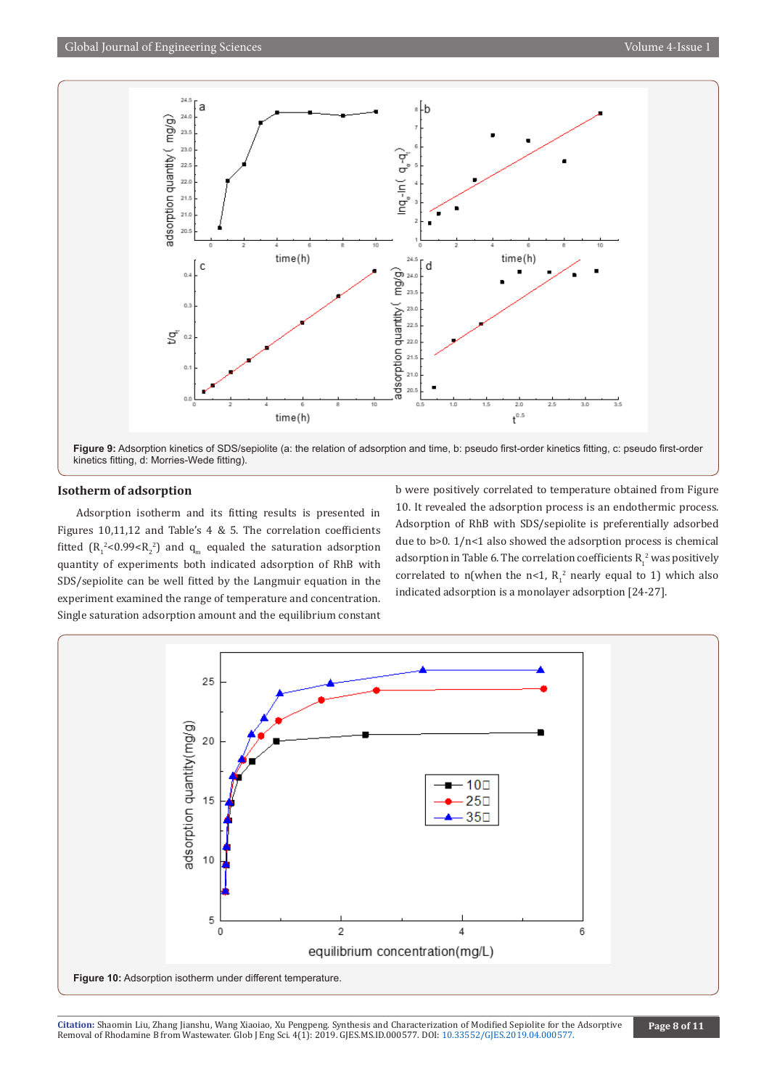

**Figure 9:** Adsorption kinetics of SDS/sepiolite (a: the relation of adsorption and time, b: pseudo first-order kinetics fitting, c: pseudo first-order kinetics fitting, d: Morries-Wede fitting).

#### **Isotherm of adsorption**

Adsorption isotherm and its fitting results is presented in Figures 10,11,12 and Table's 4 & 5. The correlation coefficients fitted  $(R_1^2<0.99 and  $q_m$  equaled the saturation adsorption$ quantity of experiments both indicated adsorption of RhB with SDS/sepiolite can be well fitted by the Langmuir equation in the experiment examined the range of temperature and concentration. Single saturation adsorption amount and the equilibrium constant

b were positively correlated to temperature obtained from Figure 10. It revealed the adsorption process is an endothermic process. Adsorption of RhB with SDS/sepiolite is preferentially adsorbed due to b>0. 1/n<1 also showed the adsorption process is chemical adsorption in Table 6. The correlation coefficients  $R_1^2$  was positively correlated to n(when the  $n<1$ ,  $R_1^2$  nearly equal to 1) which also indicated adsorption is a monolayer adsorption [24-27].

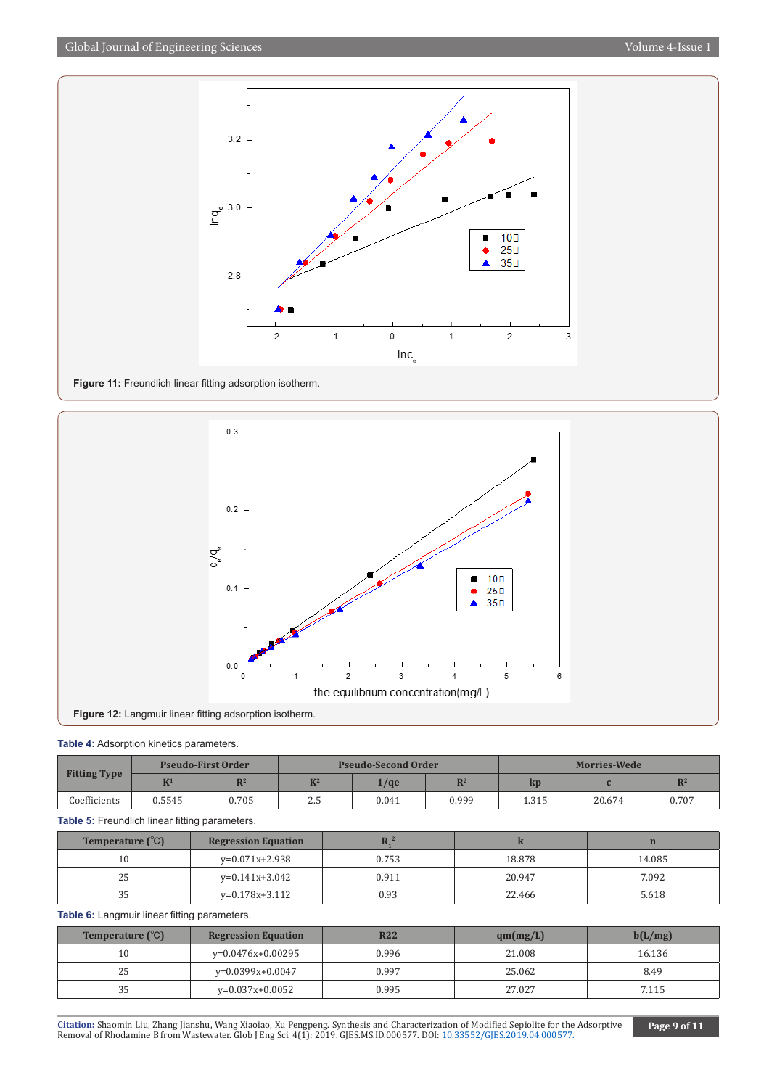

**Figure 11:** Freundlich linear fitting adsorption isotherm.



#### **Table 4:** Adsorption kinetics parameters.

|                     | <b>Pseudo-First Order</b> |                | <b>Pseudo-Second Order</b> |                      |                | <b>Morries-Wede</b> |        |                |
|---------------------|---------------------------|----------------|----------------------------|----------------------|----------------|---------------------|--------|----------------|
| <b>Fitting Type</b> | K <sup>1</sup>            | $\mathbb{R}^2$ | $K^2$                      | $\frac{1}{\sqrt{q}}$ | $\mathbf{D}^2$ | $\mathbf{kp}$       |        | $\mathbb{R}^2$ |
| Coefficients        | 0.5545                    | 0.705          | ل د ک                      | 0.041                | 0.999          | 1.315               | 20.674 | 0.707          |

**Table 5:** Freundlich linear fitting parameters.

| Temperature $({}^{\circ}C)$ | <b>Regression Equation</b> |       |        |        |
|-----------------------------|----------------------------|-------|--------|--------|
| 10                          | $v=0.071x+2.938$           | 0.753 | 18.878 | 14.085 |
| 25                          | y=0.141x+3.042             | 0.911 | 20.947 | 7.092  |
|                             | y=0.178x+3.112             | 0.93  | 22.466 | 5.618  |

**Table 6:** Langmuir linear fitting parameters.

| <b>Temperature</b> $(^{\circ}C)$ | <b>Regression Equation</b> | <b>R22</b> | qm(mg/L) | b(L/mg) |
|----------------------------------|----------------------------|------------|----------|---------|
| $10\,$                           | y=0.0476x+0.00295          | 0.996      | 21.008   | 16.136  |
| 25                               | $v=0.0399x+0.0047$         | 0.997      | 25.062   | 8.49    |
| 35                               | y=0.037x+0.0052            | 0.995      | 27.027   | 7.115   |

**Citation:** Shaomin Liu, Zhang Jianshu, Wang Xiaoiao, Xu Pengpeng. Synthesis and Characteriza[tion of Modified Sepiolite for the](http://dx.doi.org/10.33552/GJES.2019.04.000577) Adsorptive Removal of Rhodamine B from Wastewater. Glob J Eng Sci. 4(1): 2019. GJES.MS.ID.000577. DOI: 10.33552/GJES.2019.04.000577.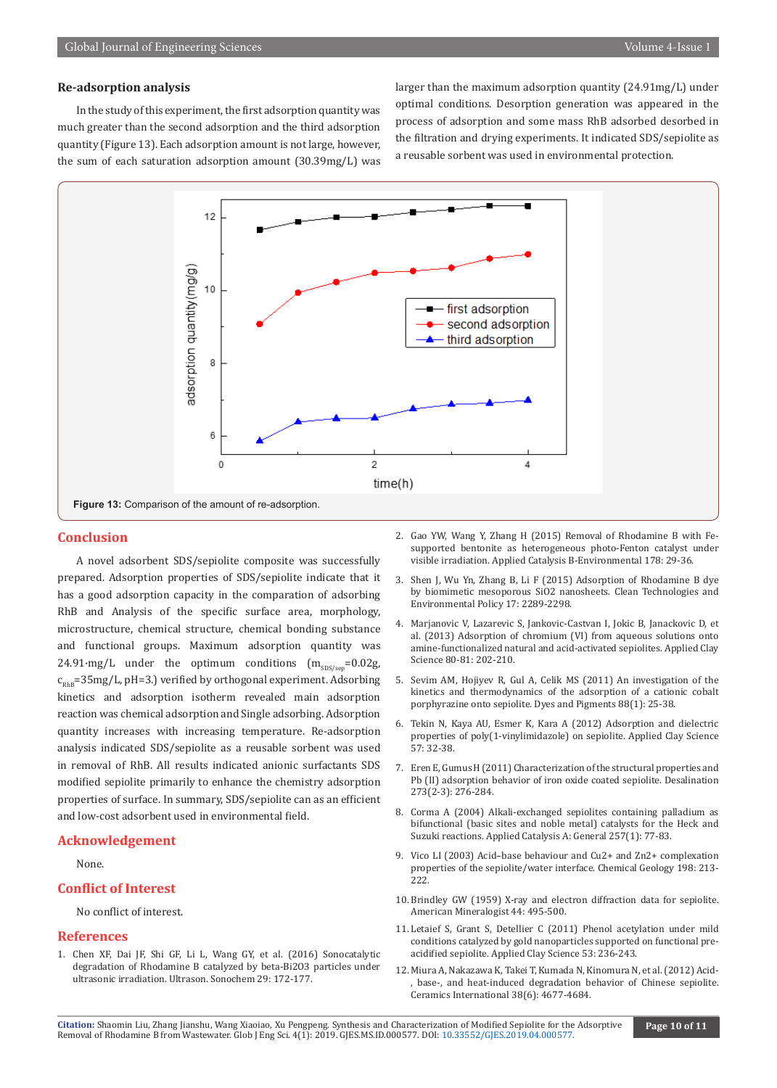#### **Re-adsorption analysis**

In the study of this experiment, the first adsorption quantity was much greater than the second adsorption and the third adsorption quantity (Figure 13). Each adsorption amount is not large, however, the sum of each saturation adsorption amount (30.39mg/L) was larger than the maximum adsorption quantity (24.91mg/L) under optimal conditions. Desorption generation was appeared in the process of adsorption and some mass RhB adsorbed desorbed in the filtration and drying experiments. It indicated SDS/sepiolite as a reusable sorbent was used in environmental protection.



#### **Conclusion**

A novel adsorbent SDS/sepiolite composite was successfully prepared. Adsorption properties of SDS/sepiolite indicate that it has a good adsorption capacity in the comparation of adsorbing RhB and Analysis of the specific surface area, morphology, microstructure, chemical structure, chemical bonding substance and functional groups. Maximum adsorption quantity was 24.91·mg/L under the optimum conditions  $(m_{SDS/sen} = 0.02g,$  $c_{\text{max}}$ =35mg/L, pH=3.) verified by orthogonal experiment. Adsorbing kinetics and adsorption isotherm revealed main adsorption reaction was chemical adsorption and Single adsorbing. Adsorption quantity increases with increasing temperature. Re-adsorption analysis indicated SDS/sepiolite as a reusable sorbent was used in removal of RhB. All results indicated anionic surfactants SDS modified sepiolite primarily to enhance the chemistry adsorption properties of surface. In summary, SDS/sepiolite can as an efficient and low-cost adsorbent used in environmental field.

#### **Acknowledgement**

None.

#### **Conflict of Interest**

No conflict of interest.

#### **References**

1. [Chen XF, Dai JF, Shi GF, Li L, Wang GY, et al. \(2016\) Sonocatalytic](https://www.ncbi.nlm.nih.gov/pubmed/26584995) [degradation of Rhodamine B catalyzed by beta-Bi2O3 particles under](https://www.ncbi.nlm.nih.gov/pubmed/26584995) [ultrasonic irradiation. Ultrason. Sonochem 29: 172-177.](https://www.ncbi.nlm.nih.gov/pubmed/26584995)

- 2. [Gao YW, Wang Y, Zhang H \(2015\) Removal of Rhodamine B with Fe](https://www.sciencedirect.com/science/article/abs/pii/S0926337314007061)[supported bentonite as heterogeneous photo-Fenton catalyst under](https://www.sciencedirect.com/science/article/abs/pii/S0926337314007061)  [visible irradiation. Applied Catalysis B-Environmental 178: 29-36.](https://www.sciencedirect.com/science/article/abs/pii/S0926337314007061)
- 3. [Shen J, Wu Yn, Zhang B, Li F \(2015\) Adsorption of Rhodamine B dye](https://www.springerprofessional.de/en/adsorption-of-rhodamine-b-dye-by-biomimetic-mesoporous-sio2-nano/5325326)  [by biomimetic mesoporous SiO2 nanosheets. Clean Technologies and](https://www.springerprofessional.de/en/adsorption-of-rhodamine-b-dye-by-biomimetic-mesoporous-sio2-nano/5325326)  [Environmental Policy 17: 2289-2298.](https://www.springerprofessional.de/en/adsorption-of-rhodamine-b-dye-by-biomimetic-mesoporous-sio2-nano/5325326)
- 4. Marjanovic V, Lazarevic S, Jankovic-Castvan I, Jokic B, Janackovic D, et al. (2013) Adsorption of chromium (VI) from aqueous solutions onto amine-functionalized natural and acid-activated sepiolites. Applied Clay Science 80-81: 202-210.
- 5. [Sevim AM, Hojiyev R, Gul A, Celik MS \(2011\) An investigation of the](https://www.sciencedirect.com/science/article/abs/pii/S0143720810001038)  [kinetics and thermodynamics of the adsorption of a cationic cobalt](https://www.sciencedirect.com/science/article/abs/pii/S0143720810001038)  [porphyrazine onto sepiolite. Dyes and Pigments 88\(1\): 25-38.](https://www.sciencedirect.com/science/article/abs/pii/S0143720810001038)
- 6. Tekin N, Kaya AU, Esmer K, Kara A (2012) Adsorption and dielectric properties of poly(1-vinylimidazole) on sepiolite. Applied Clay Science 57: 32-38.
- 7. [Eren E, Gumus H \(2011\) Characterization of the structural properties and](https://www.sciencedirect.com/science/article/abs/pii/S0011916411000154)  [Pb \(II\) adsorption behavior of iron oxide coated sepiolite. Desalination](https://www.sciencedirect.com/science/article/abs/pii/S0011916411000154)  [273\(2-3\): 276-284.](https://www.sciencedirect.com/science/article/abs/pii/S0011916411000154)
- 8. [Corma A \(2004\) Alkali-exchanged sepiolites containing palladium as](https://www.sciencedirect.com/science/article/abs/pii/S0926860X03006355)  [bifunctional \(basic sites and noble metal\) catalysts for the Heck and](https://www.sciencedirect.com/science/article/abs/pii/S0926860X03006355)  [Suzuki reactions. Applied Catalysis A: General 257\(1\): 77-83.](https://www.sciencedirect.com/science/article/abs/pii/S0926860X03006355)
- 9. Vico LI (2003) Acid–base behaviour and Cu2+ and Zn2+ complexation properties of the sepiolite/water interface. Chemical Geology 198: 213- 222.
- 10. [Brindley GW \(1959\) X-ray and electron diffraction data for sepiolite.](https://pubs.geoscienceworld.org/msa/ammin/article-abstract/44/5-6/495/541486/x-ray-and-electron-diffraction-data-for-sepiolite?redirectedFrom=fulltext)  [American Mineralogist 44: 495-500.](https://pubs.geoscienceworld.org/msa/ammin/article-abstract/44/5-6/495/541486/x-ray-and-electron-diffraction-data-for-sepiolite?redirectedFrom=fulltext)
- 11. Letaief S, Grant S, Detellier C (2011) Phenol acetylation under mild conditions catalyzed by gold nanoparticles supported on functional preacidified sepiolite. Applied Clay Science 53: 236-243.
- 12. [Miura A, Nakazawa K, Takei T, Kumada N, Kinomura N, et al. \(2012\) Acid-](https://www.infona.pl/resource/bwmeta1.element.elsevier-4fa1b637-ea5f-3113-9be7-e12bb5791783) [, base-, and heat-induced degradation behavior of Chinese sepiolite.](https://www.infona.pl/resource/bwmeta1.element.elsevier-4fa1b637-ea5f-3113-9be7-e12bb5791783)  [Ceramics International 38\(6\): 4677-4684.](https://www.infona.pl/resource/bwmeta1.element.elsevier-4fa1b637-ea5f-3113-9be7-e12bb5791783)